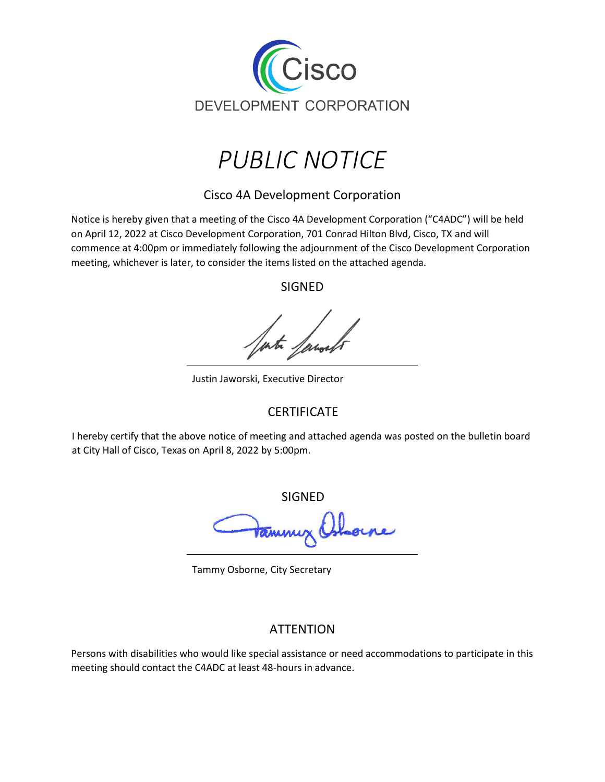



Cisco 4A Development Corporation

Notice is hereby given that a meeting of the Cisco 4A Development Corporation ("C4ADC") will be held on April 12, 2022 at Cisco Development Corporation, 701 Conrad Hilton Blvd, Cisco, TX and will commence at 4:00pm or immediately following the adjournment of the Cisco Development Corporation meeting, whichever is later, to consider the items listed on the attached agenda.

SIGNED

Inte Samuel

Justin Jaworski, Executive Director

## **CERTIFICATE**

I hereby certify that the above notice of meeting and attached agenda was posted on the bulletin board at City Hall of Cisco, Texas on April 8, 2022 by 5:00pm.

SIGNED

Tammy Osborne, City Secretary

## ATTENTION

Persons with disabilities who would like special assistance or need accommodations to participate in this meeting should contact the C4ADC at least 48-hours in advance.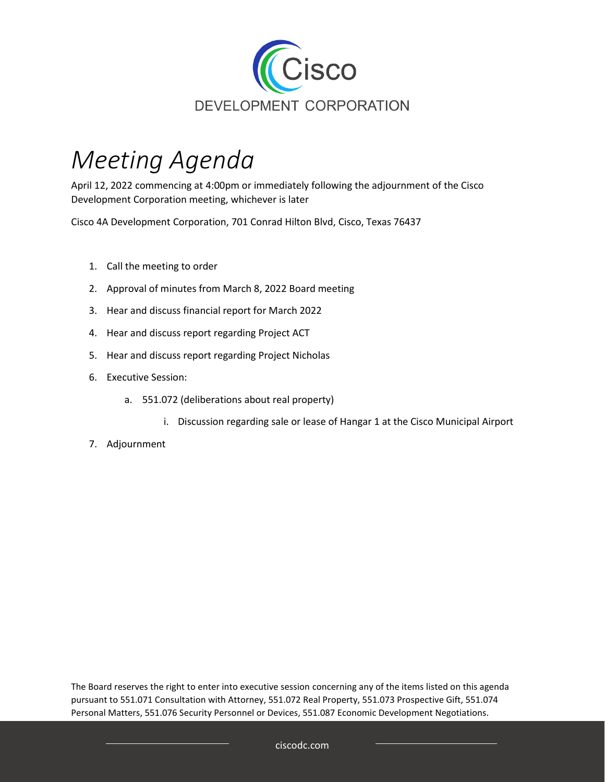

## *Meeting Agenda*

April 12, 2022 commencing at 4:00pm or immediately following the adjournment of the Cisco Development Corporation meeting, whichever is later

Cisco 4A Development Corporation, 701 Conrad Hilton Blvd, Cisco, Texas 76437

- 1. Call the meeting to order
- 2. Approval of minutes from March 8, 2022 Board meeting
- 3. Hear and discuss financial report for March 2022
- 4. Hear and discuss report regarding Project ACT
- 5. Hear and discuss report regarding Project Nicholas
- 6. Executive Session:
	- a. 551.072 (deliberations about real property)
		- i. Discussion regarding sale or lease of Hangar 1 at the Cisco Municipal Airport
- 7. Adjournment

The Board reserves the right to enter into executive session concerning any of the items listed on this agenda pursuant to 551.071 Consultation with Attorney, 551.072 Real Property, 551.073 Prospective Gift, 551.074 Personal Matters, 551.076 Security Personnel or Devices, 551.087 Economic Development Negotiations.